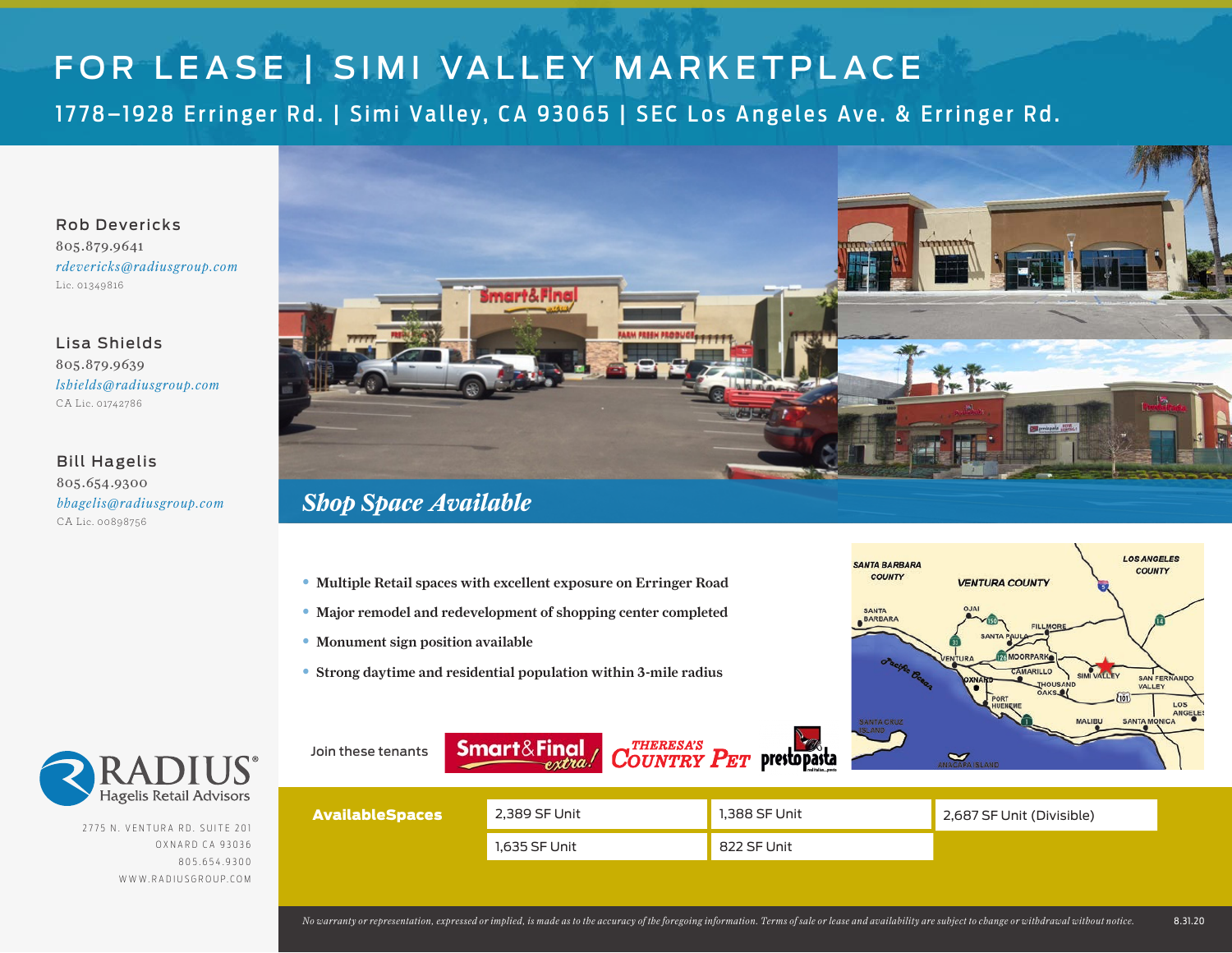### FOR LEASE | SIMI VALLEY MARKETPLACE

1778–1928 Erringer Rd. | Simi Valley, CA 93065 | SEC Los Angeles Ave. & Erringer Rd.

Rob Devericks 805.879.9641 *[rdevericks@radiusgroup.com](mailto:rdevericks%40radiusgroup.com?subject=Inquiry)* Lic. 01349816

Lisa Shields 805.879.9639 *[lshields@radiusgroup.com](mailto:lshields%40radiusgroup.com?subject=Inquiry)* CA Lic. 01742786

Bill Hagelis 805.654.9300 *[bhagelis@radiusgroup.com](mailto:bhagelis%40radiusgroup.com?subject=Inquiry)* CA Lic. 00898756



### *Shop Space Available*

- **•** Multiple Retail spaces with excellent exposure on Erringer Road
- **•** Major remodel and redevelopment of shopping center completed
- **•** Monument sign position available

Join these tenants

**•** Strong daytime and residential population within 3-mile radius

Smart&Final

extra!



2775 N. VENTURA RD. SUITE 201 OXNARD CA 93036 805.654.9300 WWW.RADIUSGROUP.COM

| <b>AvailableSpaces</b> | 2,389 SF Unit | 1,388 SF Unit | 2,687 SF Unit (Divisible) |  |
|------------------------|---------------|---------------|---------------------------|--|
|                        | 1.635 SF Unit | 822 SF Unit   |                           |  |

*THERESA'S* 

#### **LOS ANGELES SANTA BARBARA COUNTY COUNTY VENTURA COUNTY** SANTA BARBARA SAN FER VALLEY LOS ANGELE  $\boldsymbol{C}$ o $\boldsymbol{U}$ N $\boldsymbol{T}$ R $\boldsymbol{Y}$   $\boldsymbol{P}$ E $\boldsymbol{T}$  prestopasta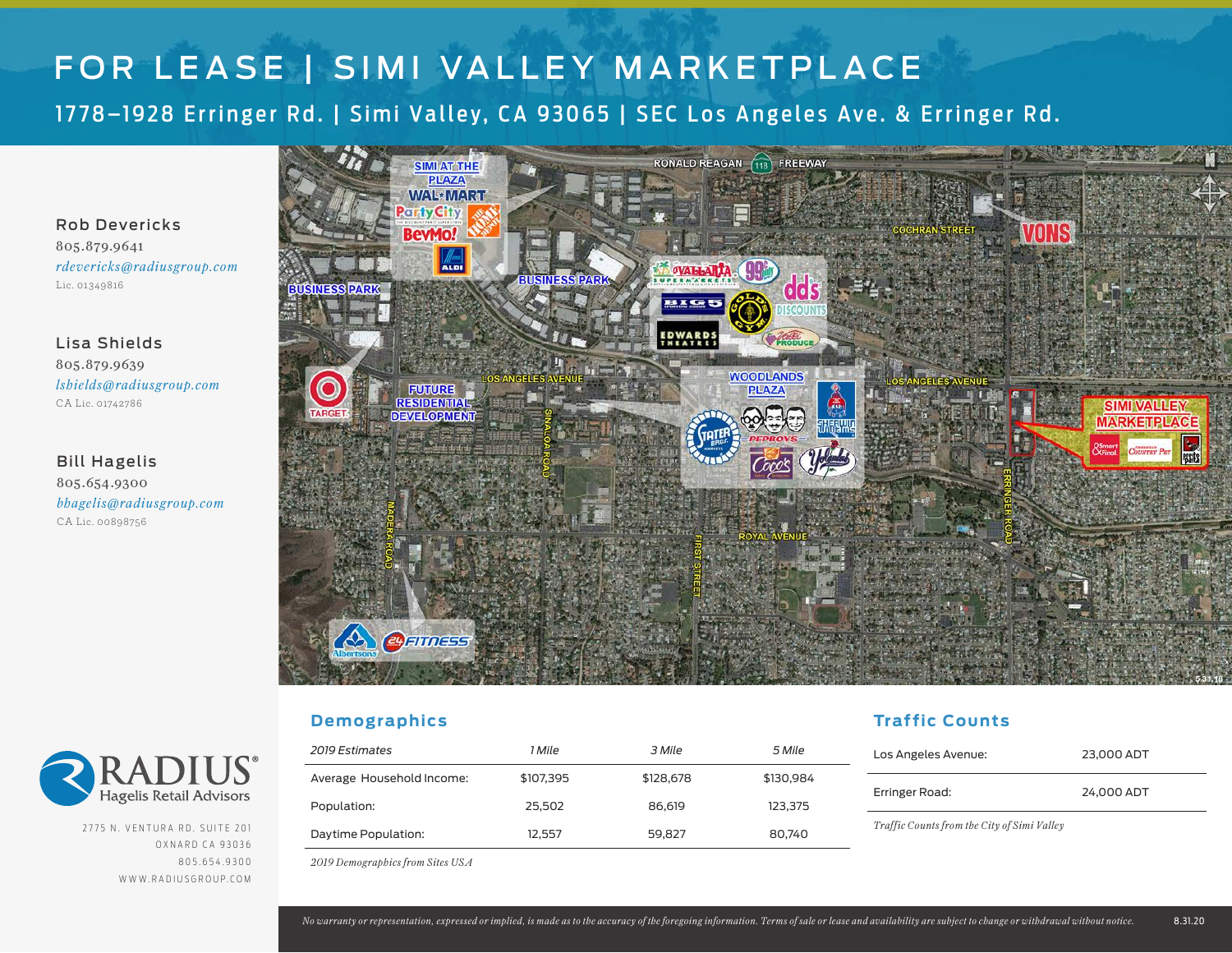## FOR LEASE | SIMI VALLEY MARKETPLACE

1778–1928 Erringer Rd. | Simi Valley, CA 93065 | SEC Los Angeles Ave. & Erringer Rd.

Rob Devericks 805.879.9641 *[rdevericks@radiusgroup.com](mailto:rdevericks%40radiusgroup.com?subject=Inquiry)* Lic. 01349816

Lisa Shields 805.879.9639 *[lshields@radiusgroup.com](mailto:lshields%40radiusgroup.com?subject=Inquiry)* CA Lic. 01742786

Bill Hagelis 805.654.9300 *[bhagelis@radiusgroup.com](mailto:bhagelis%40radiusgroup.com?subject=Inquiry)* CA Lic. 00898756



#### **Demographics**



2775 N. VENTURA RD. SUITE 201 OXNARD CA 93036 805.654.9300 WWW.RADIUSGROUP.COM

| 2019 Estimates            | 1 Mile    | 3 Mile    | 5 Mile    | Lo |
|---------------------------|-----------|-----------|-----------|----|
| Average Household Income: | \$107,395 | \$128,678 | \$130,984 | Er |
| Population:               | 25.502    | 86.619    | 123,375   |    |
| Daytime Population:       | 12.557    | 59.827    | 80,740    | Tr |

*2019 Demographics from Sites USA*

#### **Traffic Counts**

| Los Angeles Avenue:                         | 23,000 ADT |  |  |
|---------------------------------------------|------------|--|--|
| Erringer Road:                              | 24,000 ADT |  |  |
| Traffic Counts from the City of Simi Valley |            |  |  |